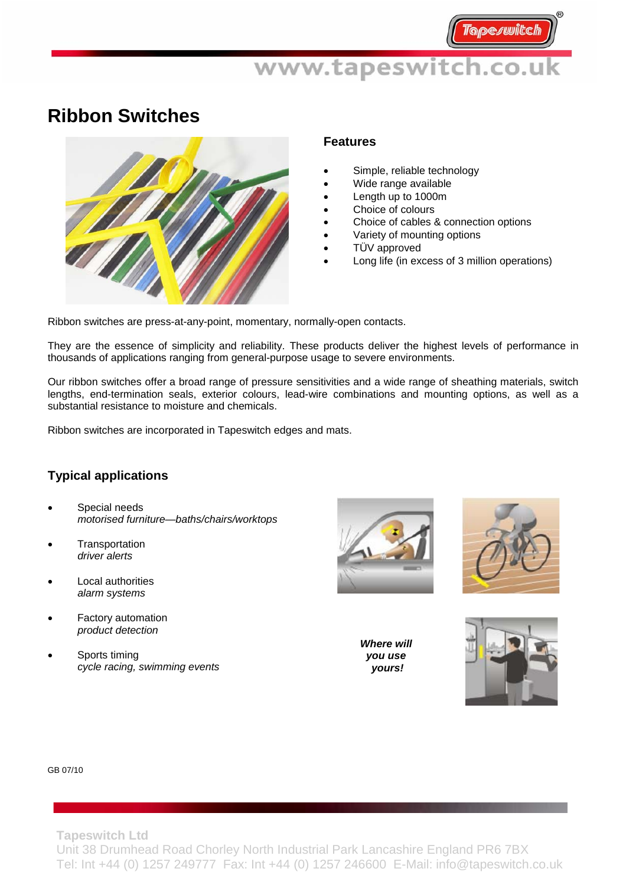## **Ribbon Switches**



#### **Features**

- Simple, reliable technology
- Wide range available
- Length up to 1000m
- Choice of colours
- Choice of cables & connection options
- Variety of mounting options
- TÜV approved
- Long life (in excess of 3 million operations)

Ribbon switches are press-at-any-point, momentary, normally-open contacts.

They are the essence of simplicity and reliability. These products deliver the highest levels of performance in thousands of applications ranging from general-purpose usage to severe environments.

Our ribbon switches offer a broad range of pressure sensitivities and a wide range of sheathing materials, switch lengths, end-termination seals, exterior colours, lead-wire combinations and mounting options, as well as a substantial resistance to moisture and chemicals.

Ribbon switches are incorporated in Tapeswitch edges and mats.

### **Typical applications**

- Special needs *motorised furniture—baths/chairs/worktops*
- **Transportation** *driver alerts*
- **Local authorities** *alarm systems*
- Factory automation  *product detection*
- Sports timing *cycle racing, swimming events*





*Where will you use yours!*



#### GB 07/10

**Tapeswitch Ltd** 

Unit 38 Drumhead Road Chorley North Industrial Park Lancashire England PR6 7BX Tel: Int +44 (0) 1257 249777 Fax: Int +44 (0) 1257 246600 E-Mail: info@tapeswitch.co.uk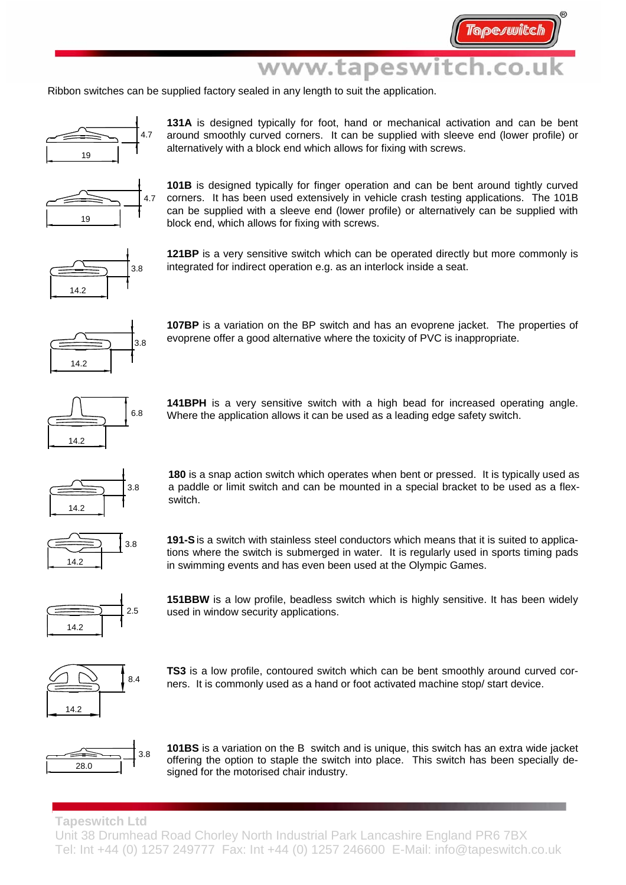Ribbon switches can be supplied factory sealed in any length to suit the application.



**131A** is designed typically for foot, hand or mechanical activation and can be bent around smoothly curved corners. It can be supplied with sleeve end (lower profile) or alternatively with a block end which allows for fixing with screws.



**101B** is designed typically for finger operation and can be bent around tightly curved corners. It has been used extensively in vehicle crash testing applications. The 101B can be supplied with a sleeve end (lower profile) or alternatively can be supplied with block end, which allows for fixing with screws.

3.8 14.2

**121BP** is a very sensitive switch which can be operated directly but more commonly is integrated for indirect operation e.g. as an interlock inside a seat.



**107BP** is a variation on the BP switch and has an evoprene jacket. The properties of evoprene offer a good alternative where the toxicity of PVC is inappropriate.



**141BPH** is a very sensitive switch with a high bead for increased operating angle.  $6.8$  Where the application allows it can be used as a leading edge safety switch.



**180** is a snap action switch which operates when bent or pressed. It is typically used as a paddle or limit switch and can be mounted in a special bracket to be used as a flexswitch.



**191-S** is a switch with stainless steel conductors which means that it is suited to applications where the switch is submerged in water. It is regularly used in sports timing pads in swimming events and has even been used at the Olympic Games.



**151BBW** is a low profile, beadless switch which is highly sensitive. It has been widely used in window security applications.



**TS3** is a low profile, contoured switch which can be bent smoothly around curved corners. It is commonly used as a hand or foot activated machine stop/ start device.



**101BS** is a variation on the B switch and is unique, this switch has an extra wide jacket offering the option to staple the switch into place. This switch has been specially designed for the motorised chair industry.

**Tapeswitch Ltd** 

Unit 38 Drumhead Road Chorley North Industrial Park Lancashire England PR6 7BX Tel: Int +44 (0) 1257 249777 Fax: Int +44 (0) 1257 246600 E-Mail: info@tapeswitch.co.uk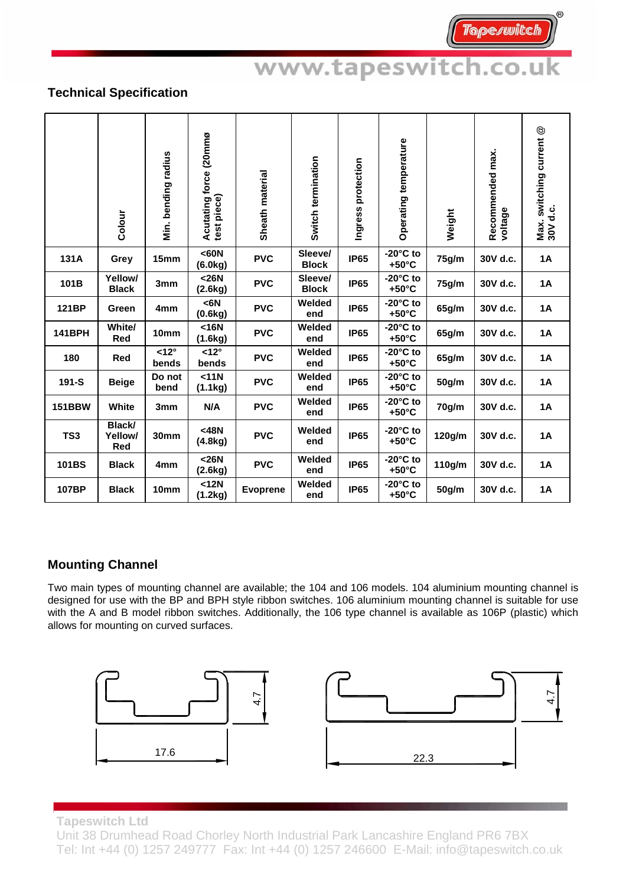### **Technical Specification**

|                 | Colour                   | Min. bending radius    | Acutating force (20mmø<br>test piece) | Sheath material | Switch termination      | Ingress protection | Operating temperature                 | Weight | Recommended max.<br>voltage | $^{\circledR}$<br>Max. switching current<br>30V d.c. |
|-----------------|--------------------------|------------------------|---------------------------------------|-----------------|-------------------------|--------------------|---------------------------------------|--------|-----------------------------|------------------------------------------------------|
| 131A            | Grey                     | 15mm                   | <60N<br>(6.0kg)                       | <b>PVC</b>      | Sleeve/<br><b>Block</b> | <b>IP65</b>        | $-20^\circ$ C to<br>$+50^{\circ}$ C   | 75g/m  | 30V d.c.                    | <b>1A</b>                                            |
| 101B            | Yellow/<br><b>Black</b>  | 3mm                    | $26N$<br>(2.6kg)                      | <b>PVC</b>      | Sleeve/<br><b>Block</b> | <b>IP65</b>        | $-20^\circ$ C to<br>$+50^{\circ}$ C   | 75g/m  | 30V d.c.                    | <b>1A</b>                                            |
| 121BP           | Green                    | 4mm                    | $6N$<br>(0.6kg)                       | <b>PVC</b>      | Welded<br>end           | <b>IP65</b>        | $-20^\circ$ C to<br>$+50^{\circ}$ C   | 65g/m  | 30V d.c.                    | <b>1A</b>                                            |
| <b>141BPH</b>   | White/<br><b>Red</b>     | 10mm                   | $16N$<br>(1.6kg)                      | <b>PVC</b>      | Welded<br>end           | <b>IP65</b>        | $-20^\circ$ C to<br>$+50^{\circ}$ C   | 65g/m  | 30V d.c.                    | 1A                                                   |
| 180             | Red                      | $<12^{\circ}$<br>bends | $< 12^{\circ}$<br>bends               | <b>PVC</b>      | Welded<br>end           | <b>IP65</b>        | $-20^{\circ}$ C to<br>$+50^{\circ}$ C | 65g/m  | 30V d.c.                    | <b>1A</b>                                            |
| 191-S           | <b>Beige</b>             | Do not<br>bend         | <11N<br>(1.1kg)                       | <b>PVC</b>      | Welded<br>end           | <b>IP65</b>        | $-20^\circ$ C to<br>$+50^{\circ}$ C   | 50g/m  | 30V d.c.                    | <b>1A</b>                                            |
| <b>151BBW</b>   | White                    | 3mm                    | N/A                                   | <b>PVC</b>      | Welded<br>end           | <b>IP65</b>        | $-20^{\circ}$ C to<br>$+50^{\circ}$ C | 70g/m  | 30V d.c.                    | <b>1A</b>                                            |
| TS <sub>3</sub> | Black/<br>Yellow/<br>Red | 30mm                   | $<$ 48N<br>(4.8kg)                    | <b>PVC</b>      | Welded<br>end           | <b>IP65</b>        | $-20^{\circ}$ C to<br>$+50^{\circ}$ C | 120g/m | 30V d.c.                    | 1A                                                   |
| 101BS           | <b>Black</b>             | 4 <sub>mm</sub>        | $26N$<br>(2.6kg)                      | <b>PVC</b>      | Welded<br>end           | <b>IP65</b>        | $-20^\circ$ C to<br>$+50^{\circ}$ C   | 110g/m | 30V d.c.                    | <b>1A</b>                                            |
| 107BP           | <b>Black</b>             | 10mm                   | $12N$<br>(1.2kg)                      | <b>Evoprene</b> | Welded<br>end           | <b>IP65</b>        | $-20^{\circ}$ C to<br>$+50^{\circ}$ C | 50g/m  | 30V d.c.                    | <b>1A</b>                                            |

### **Mounting Channel**

Two main types of mounting channel are available; the 104 and 106 models. 104 aluminium mounting channel is designed for use with the BP and BPH style ribbon switches. 106 aluminium mounting channel is suitable for use with the A and B model ribbon switches. Additionally, the 106 type channel is available as 106P (plastic) which allows for mounting on curved surfaces.



**Tapeswitch Ltd** 

Unit 38 Drumhead Road Chorley North Industrial Park Lancashire England PR6 7BX Tel: Int +44 (0) 1257 249777 Fax: Int +44 (0) 1257 246600 E-Mail: info@tapeswitch.co.uk